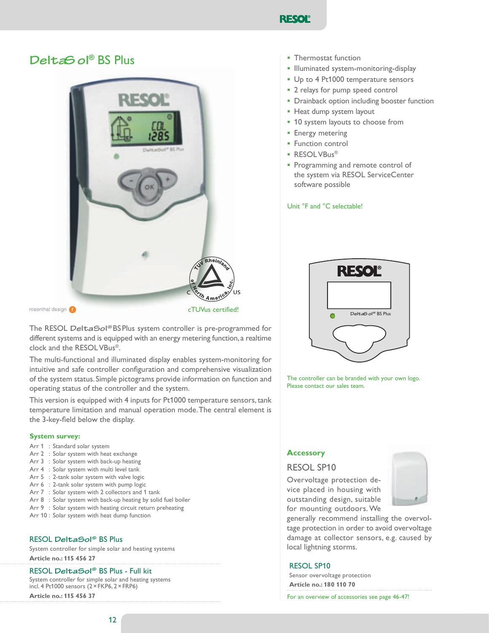

# DeltaS ol<sup>®</sup> BS Plus



rosenthal design (

cTUVus certified!

The RESOL DeltaSol®BSPlus system controller is pre-programmed for different systems and is equipped with an energy metering function, a realtime clock and the RESOL VBus®.

The multi-functional and illuminated display enables system-monitoring for intuitive and safe controller configuration and comprehensive visualization of the system status. Simple pictograms provide information on function and operating status of the controller and the system.

This version is equipped with 4 inputs for Pt1000 temperature sensors, tank temperature limitation and manual operation mode. The central element is the 3-key-field below the display.

#### **System survey:**

- Arr 1 : Standard solar system
- Arr 2 : Solar system with heat exchange
- Arr 3 : Solar system with back-up heating
- Arr 4 : Solar system with multi level tank
- Arr  $5:2$ -tank solar system with valve logic
- Arr 6 : 2-tank solar system with pump logic
- Arr 7 : Solar system with 2 collectors and 1 tank
- Arr 8 : Solar system with back-up heating by solid fuel boiler
- Arr  $9$  : Solar system with heating circuit return preheating
- Arr 10 : Solar system with heat dump function

#### RESOL DeltaSol<sup>®</sup> BS Plus

System controller for simple solar and heating systems **Article no.: 115 456 27** 

#### RESOL DeltaSol® BS Plus - Full kit

System controller for simple solar and heating systems incl. 4 Pt1000 sensors  $(2 \times$  FKP6,  $2 \times$  FRP6)

**Article no.: 115 456 37** 

- **<u>■** Thermostat function</u>
- **.** Illuminated system-monitoring-display
- Up to 4 Pt1000 temperature sensors
- 2 relays for pump speed control
- **•** Drainback option including booster function
- **•** Heat dump system layout
- **.** 10 system layouts to choose from
- **•** Energy metering
- **<u>■** Function control</u>
- **<u>■** RESOLVBus<sup>®</sup></u>
- **•** Programming and remote control of the system via RESOL ServiceCenter software possible

Unit <sup>°</sup>F and <sup>°</sup>C selectable!



The controller can be branded with your own logo. Please contact our sales team.

#### **Accessory**

### RESOL SP10

Overvoltage protection device placed in housing with outstanding design, suitable for mounting outdoors. We



generally recommend installing the overvoltage protection in order to avoid overvoltage damage at collector sensors, e.g. caused by local lightning storms.

#### **RESOL SP10**

Sensor overvoltage protection **Article no.: 180 110 70** 

For an overview of accessories see page 46-47!